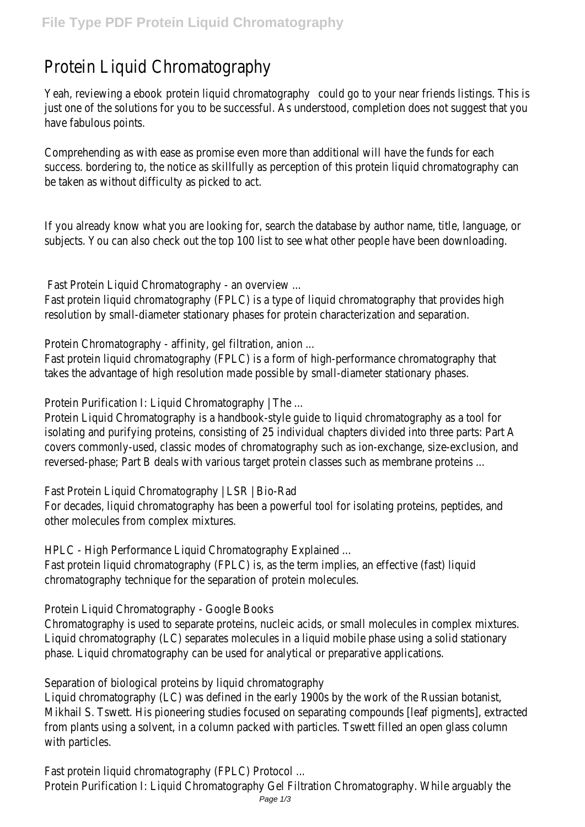# Protein Liquid Chromatography

Yeah, reviewing a ebook rotein liquid chromatography ould go to your near friends listings. This is just one of the solutions for you to be successful. As understood, completion does not suggest tha have fabulous points.

Comprehending as with ease as promise even more than additional will have the funds for each success. bordering to, the notice as skillfully as perception of this protein liquid chromatography ca be taken as without difficulty as picked to act.

If you already know what you are looking for, search the database by author name, title, language, or subjects. You can also check out the top 100 list to see what other people have been downloading.

Fast Protein Liquid Chromatography - an overview ...

Fast protein liquid chromatography (FPLC) is a type of liquid chromatography that provides high resolution by small-diameter stationary phases for protein characterization and separation.

Protein Chromatography - affinity, gel filtration, anion ...

Fast protein liquid chromatography (FPLC) is a form of high-performance chromatography that takes the advantage of high resolution made possible by small-diameter stationary phases.

Protein Purification I: Liquid Chromatography | The ...

Protein Liquid Chromatography is a handbook-style guide to liquid chromatography as a tool for isolating and purifying proteins, consisting of 25 individual chapters divided into three parts: Part A covers commonly-used, classic modes of chromatography such as ion-exchange, size-exclusion, and reversed-phase; Part B deals with various target protein classes such as membrane proteins ...

Fast Protein Liquid Chromatography | LSR | Bio-Rad

For decades, liquid chromatography has been a powerful tool for isolating proteins, peptides, and other molecules from complex mixtures.

HPLC - High Performance Liquid Chromatography Explained ...

Fast protein liquid chromatography (FPLC) is, as the term implies, an effective (fast) liquid chromatography technique for the separation of protein molecules.

Protein Liquid Chromatography - Google Books

Chromatography is used to separate proteins, nucleic acids, or small molecules in complex mixtures. Liquid chromatography (LC) separates molecules in a liquid mobile phase using a solid stationary phase. Liquid chromatography can be used for analytical or preparative applications.

Separation of biological proteins by liquid chromatography

Liquid chromatography (LC) was defined in the early 1900s by the work of the Russian botanist, Mikhail S. Tswett. His pioneering studies focused on separating compounds [leaf pigments], extracted from plants using a solvent, in a column packed with particles. Tswett filled an open glass column with particles.

Fast protein liquid chromatography (FPLC) Protocol ...

Protein Purification I: Liquid Chromatography Gel Filtration Chromatography. While arguably the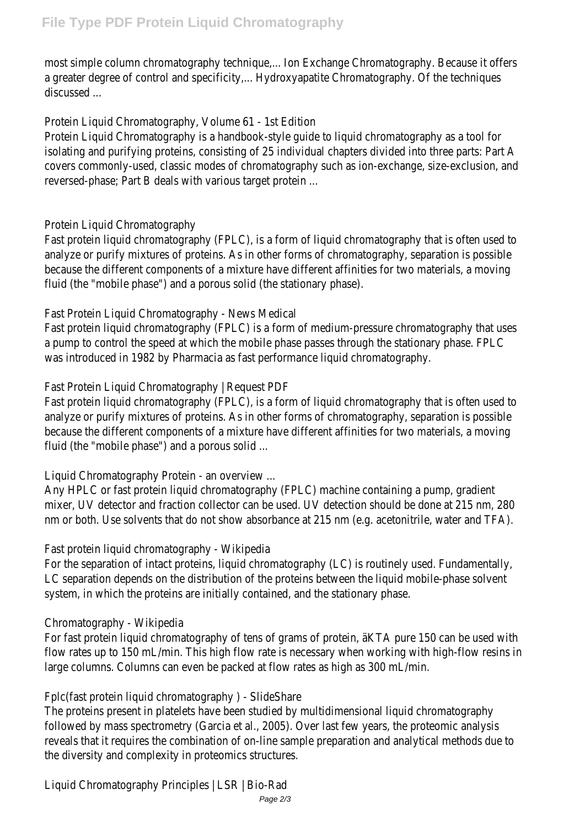most simple column chromatography technique,... Ion Exchange Chromatography. Because it offers a greater degree of control and specificity,... Hydroxyapatite Chromatography. Of the techniques discussed ...

Protein Liquid Chromatography, Volume 61 - 1st Edition

Protein Liquid Chromatography is a handbook-style guide to liquid chromatography as a tool for isolating and purifying proteins, consisting of 25 individual chapters divided into three parts: Part A covers commonly-used, classic modes of chromatography such as ion-exchange, size-exclusion, and reversed-phase; Part B deals with various target protein ...

## Protein Liquid Chromatography

Fast protein liquid chromatography (FPLC), is a form of liquid chromatography that is often used to analyze or purify mixtures of proteins. As in other forms of chromatography, separation is possible because the different components of a mixture have different affinities for two materials, a moving fluid (the "mobile phase") and a porous solid (the stationary phase).

## Fast Protein Liquid Chromatography - News Medical

Fast protein liquid chromatography (FPLC) is a form of medium-pressure chromatography that uses a pump to control the speed at which the mobile phase passes through the stationary phase. FPLC was introduced in 1982 by Pharmacia as fast performance liquid chromatography.

Fast Protein Liquid Chromatography | Request PDF

Fast protein liquid chromatography (FPLC), is a form of liquid chromatography that is often used to analyze or purify mixtures of proteins. As in other forms of chromatography, separation is possible because the different components of a mixture have different affinities for two materials, a moving fluid (the "mobile phase") and a porous solid ...

Liquid Chromatography Protein - an overview ...

Any HPLC or fast protein liquid chromatography (FPLC) machine containing a pump, gradient mixer, UV detector and fraction collector can be used. UV detection should be done at 215 nm, 280 nm or both. Use solvents that do not show absorbance at 215 nm (e.g. acetonitrile, water and TFA).

#### Fast protein liquid chromatography - Wikipedia

For the separation of intact proteins, liquid chromatography (LC) is routinely used. Fundamentally, LC separation depends on the distribution of the proteins between the liquid mobile-phase solvent system, in which the proteins are initially contained, and the stationary phase.

# Chromatography - Wikipedia

For fast protein liquid chromatography of tens of grams of protein, äKTA pure 150 can be used with flow rates up to 150 mL/min. This high flow rate is necessary when working with high-flow resins large columns. Columns can even be packed at flow rates as high as 300 mL/min.

Fplc(fast protein liquid chromatography ) - SlideShare

The proteins present in platelets have been studied by multidimensional liquid chromatography followed by mass spectrometry (Garcia et al., 2005). Over last few years, the proteomic analysis reveals that it requires the combination of on-line sample preparation and analytical methods due to the diversity and complexity in proteomics structures.

Liquid Chromatography Principles | LSR | Bio-Rad